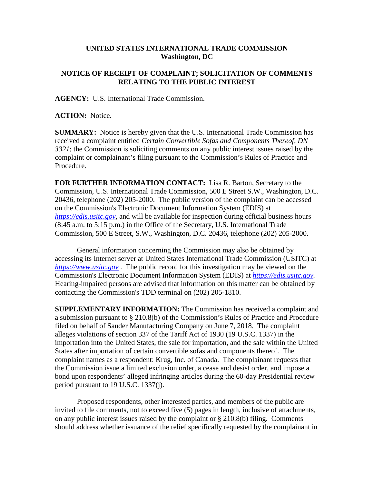## **UNITED STATES INTERNATIONAL TRADE COMMISSION Washington, DC**

## **NOTICE OF RECEIPT OF COMPLAINT; SOLICITATION OF COMMENTS RELATING TO THE PUBLIC INTEREST**

**AGENCY:** U.S. International Trade Commission.

**ACTION:** Notice.

**SUMMARY:** Notice is hereby given that the U.S. International Trade Commission has received a complaint entitled *Certain Convertible Sofas and Components Thereof, DN 3321*; the Commission is soliciting comments on any public interest issues raised by the complaint or complainant's filing pursuant to the Commission's Rules of Practice and Procedure.

**FOR FURTHER INFORMATION CONTACT:** Lisa R. Barton, Secretary to the Commission, U.S. International Trade Commission, 500 E Street S.W., Washington, D.C. 20436, telephone (202) 205-2000. The public version of the complaint can be accessed on the Commission's Electronic Document Information System (EDIS) at *[https://edis.usitc.gov](https://edis.usitc.gov/)*, and will be available for inspection during official business hours (8:45 a.m. to 5:15 p.m.) in the Office of the Secretary, U.S. International Trade Commission, 500 E Street, S.W., Washington, D.C. 20436, telephone (202) 205-2000.

General information concerning the Commission may also be obtained by accessing its Internet server at United States International Trade Commission (USITC) at *[https://www.usitc.gov](https://www.usitc.gov/)* . The public record for this investigation may be viewed on the Commission's Electronic Document Information System (EDIS) at *[https://edis.usitc.gov.](https://edis.usitc.gov/)* Hearing-impaired persons are advised that information on this matter can be obtained by contacting the Commission's TDD terminal on (202) 205-1810.

**SUPPLEMENTARY INFORMATION:** The Commission has received a complaint and a submission pursuant to § 210.8(b) of the Commission's Rules of Practice and Procedure filed on behalf of Sauder Manufacturing Company on June 7, 2018. The complaint alleges violations of section 337 of the Tariff Act of 1930 (19 U.S.C. 1337) in the importation into the United States, the sale for importation, and the sale within the United States after importation of certain convertible sofas and components thereof. The complaint names as a respondent: Krug, Inc. of Canada. The complainant requests that the Commission issue a limited exclusion order, a cease and desist order, and impose a bond upon respondents' alleged infringing articles during the 60-day Presidential review period pursuant to 19 U.S.C. 1337(j).

Proposed respondents, other interested parties, and members of the public are invited to file comments, not to exceed five (5) pages in length, inclusive of attachments, on any public interest issues raised by the complaint or § 210.8(b) filing. Comments should address whether issuance of the relief specifically requested by the complainant in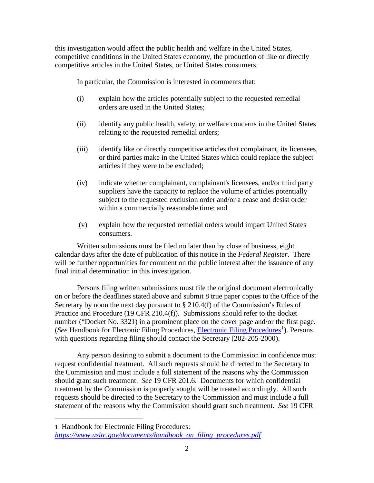this investigation would affect the public health and welfare in the United States, competitive conditions in the United States economy, the production of like or directly competitive articles in the United States, or United States consumers.

In particular, the Commission is interested in comments that:

- (i) explain how the articles potentially subject to the requested remedial orders are used in the United States;
- (ii) identify any public health, safety, or welfare concerns in the United States relating to the requested remedial orders;
- (iii) identify like or directly competitive articles that complainant, its licensees, or third parties make in the United States which could replace the subject articles if they were to be excluded;
- (iv) indicate whether complainant, complainant's licensees, and/or third party suppliers have the capacity to replace the volume of articles potentially subject to the requested exclusion order and/or a cease and desist order within a commercially reasonable time; and
- (v) explain how the requested remedial orders would impact United States consumers.

Written submissions must be filed no later than by close of business, eight calendar days after the date of publication of this notice in the *Federal Register*. There will be further opportunities for comment on the public interest after the issuance of any final initial determination in this investigation.

Persons filing written submissions must file the original document electronically on or before the deadlines stated above and submit 8 true paper copies to the Office of the Secretary by noon the next day pursuant to § 210.4(f) of the Commission's Rules of Practice and Procedure (19 CFR 210.4(f)). Submissions should refer to the docket number ("Docket No. 3321) in a prominent place on the cover page and/or the first page. (See Handbook for Electonic Filing Procedures, *Electronic Filing Procedures<sup>[1](#page-1-0)</sup>*). Persons with questions regarding filing should contact the Secretary (202-205-2000).

Any person desiring to submit a document to the Commission in confidence must request confidential treatment. All such requests should be directed to the Secretary to the Commission and must include a full statement of the reasons why the Commission should grant such treatment. *See* 19 CFR 201.6. Documents for which confidential treatment by the Commission is properly sought will be treated accordingly. All such requests should be directed to the Secretary to the Commission and must include a full statement of the reasons why the Commission should grant such treatment. *See* 19 CFR

 $\overline{a}$ 

<span id="page-1-0"></span><sup>1</sup> Handbook for Electronic Filing Procedures: *[https://www.usitc.gov/documents/handbook\\_on\\_filing\\_procedures.pdf](https://www.usitc.gov/documents/handbook_on_filing_procedures.pdf)*